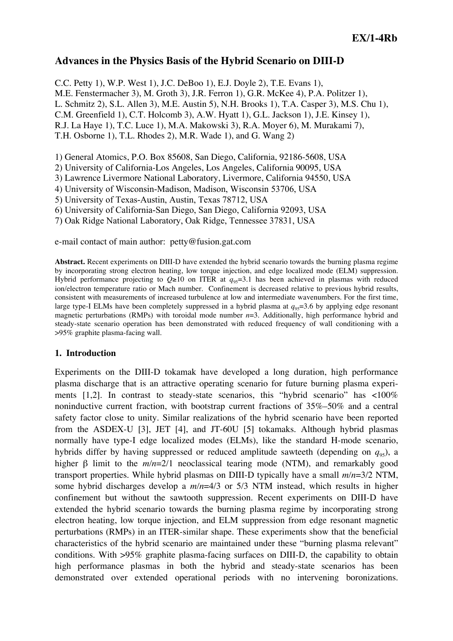# **Advances in the Physics Basis of the Hybrid Scenario on DIII-D**

C.C. Petty 1), W.P. West 1), J.C. DeBoo 1), E.J. Doyle 2), T.E. Evans 1), M.E. Fenstermacher 3), M. Groth 3), J.R. Ferron 1), G.R. McKee 4), P.A. Politzer 1), L. Schmitz 2), S.L. Allen 3), M.E. Austin 5), N.H. Brooks 1), T.A. Casper 3), M.S. Chu 1), C.M. Greenfield 1), C.T. Holcomb 3), A.W. Hyatt 1), G.L. Jackson 1), J.E. Kinsey 1), R.J. La Haye 1), T.C. Luce 1), M.A. Makowski 3), R.A. Moyer 6), M. Murakami 7), T.H. Osborne 1), T.L. Rhodes 2), M.R. Wade 1), and G. Wang 2)

1) General Atomics, P.O. Box 85608, San Diego, California, 92186-5608, USA

2) University of California-Los Angeles, Los Angeles, California 90095, USA

3) Lawrence Livermore National Laboratory, Livermore, California 94550, USA

4) University of Wisconsin-Madison, Madison, Wisconsin 53706, USA

5) University of Texas-Austin, Austin, Texas 78712, USA

6) University of California-San Diego, San Diego, California 92093, USA

7) Oak Ridge National Laboratory, Oak Ridge, Tennessee 37831, USA

e-mail contact of main author: petty@fusion.gat.com

**Abstract.** Recent experiments on DIII-D have extended the hybrid scenario towards the burning plasma regime by incorporating strong electron heating, low torque injection, and edge localized mode (ELM) suppression. Hybrid performance projecting to  $Q\geq 10$  on ITER at  $q_{95}=3.1$  has been achieved in plasmas with reduced ion/electron temperature ratio or Mach number. Confinement is decreased relative to previous hybrid results, consistent with measurements of increased turbulence at low and intermediate wavenumbers. For the first time, large type-I ELMs have been completely suppressed in a hybrid plasma at  $q_{95}=3.6$  by applying edge resonant magnetic perturbations (RMPs) with toroidal mode number *n*=3. Additionally, high performance hybrid and steady-state scenario operation has been demonstrated with reduced frequency of wall conditioning with a >95% graphite plasma-facing wall.

### **1. Introduction**

Experiments on the DIII-D tokamak have developed a long duration, high performance plasma discharge that is an attractive operating scenario for future burning plasma experiments  $[1,2]$ . In contrast to steady-state scenarios, this "hybrid scenario" has  $\langle 100\%$ noninductive current fraction, with bootstrap current fractions of 35%–50% and a central safety factor close to unity. Similar realizations of the hybrid scenario have been reported from the ASDEX-U [3], JET [4], and JT-60U [5] tokamaks. Although hybrid plasmas normally have type-I edge localized modes (ELMs), like the standard H-mode scenario, hybrids differ by having suppressed or reduced amplitude sawteeth (depending on  $q_{95}$ ), a higher β limit to the *m/n*=2/1 neoclassical tearing mode (NTM), and remarkably good transport properties. While hybrid plasmas on DIII-D typically have a small *m/n*=3/2 NTM, some hybrid discharges develop a *m/n*=4/3 or 5/3 NTM instead, which results in higher confinement but without the sawtooth suppression. Recent experiments on DIII-D have extended the hybrid scenario towards the burning plasma regime by incorporating strong electron heating, low torque injection, and ELM suppression from edge resonant magnetic perturbations (RMPs) in an ITER-similar shape. These experiments show that the beneficial characteristics of the hybrid scenario are maintained under these "burning plasma relevant" conditions. With >95% graphite plasma-facing surfaces on DIII-D, the capability to obtain high performance plasmas in both the hybrid and steady-state scenarios has been demonstrated over extended operational periods with no intervening boronizations.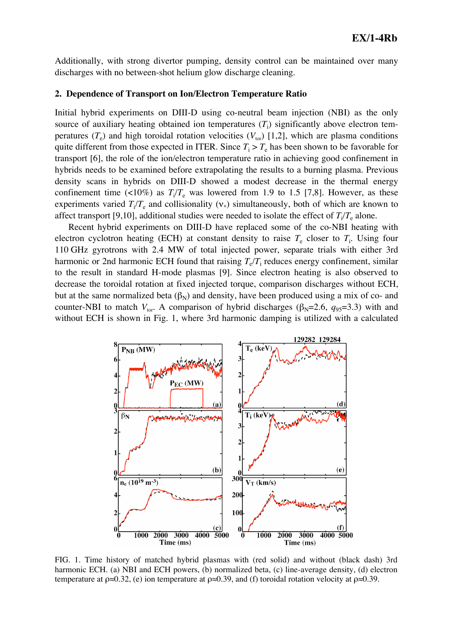Additionally, with strong divertor pumping, density control can be maintained over many discharges with no between-shot helium glow discharge cleaning.

#### **2. Dependence of Transport on Ion/Electron Temperature Ratio**

Initial hybrid experiments on DIII-D using co-neutral beam injection (NBI) as the only source of auxiliary heating obtained ion temperatures  $(T<sub>i</sub>)$  significantly above electron temperatures  $(T_e)$  and high toroidal rotation velocities  $(V_{\text{tor}})$  [1,2], which are plasma conditions quite different from those expected in ITER. Since  $T_i > T_e$  has been shown to be favorable for transport [6], the role of the ion/electron temperature ratio in achieving good confinement in hybrids needs to be examined before extrapolating the results to a burning plasma. Previous density scans in hybrids on DIII-D showed a modest decrease in the thermal energy confinement time  $\left(\langle 10\% \right)$  as  $T_i/T_e$  was lowered from 1.9 to 1.5 [7,8]. However, as these experiments varied  $T_i/T_e$  and collisionality  $(v_*)$  simultaneously, both of which are known to affect transport [9,10], additional studies were needed to isolate the effect of  $T_i/T_e$  alone.

Recent hybrid experiments on DIII-D have replaced some of the co-NBI heating with electron cyclotron heating (ECH) at constant density to raise  $T_e$  closer to  $T_i$ . Using four 110 GHz gyrotrons with 2.4 MW of total injected power, separate trials with either 3rd harmonic or 2nd harmonic ECH found that raising  $T_e/T_i$  reduces energy confinement, similar to the result in standard H-mode plasmas [9]. Since electron heating is also observed to decrease the toroidal rotation at fixed injected torque, comparison discharges without ECH, but at the same normalized beta  $(\beta_N)$  and density, have been produced using a mix of co- and counter-NBI to match  $V_{\text{tor}}$ . A comparison of hybrid discharges ( $\beta_N$ =2.6,  $q_{95}$ =3.3) with and without ECH is shown in Fig. 1, where 3rd harmonic damping is utilized with a calculated



FIG. 1. Time history of matched hybrid plasmas with (red solid) and without (black dash) 3rd harmonic ECH. (a) NBI and ECH powers, (b) normalized beta, (c) line-average density, (d) electron temperature at  $\rho \approx 0.32$ , (e) ion temperature at  $\rho \approx 0.39$ , and (f) toroidal rotation velocity at  $\rho \approx 0.39$ .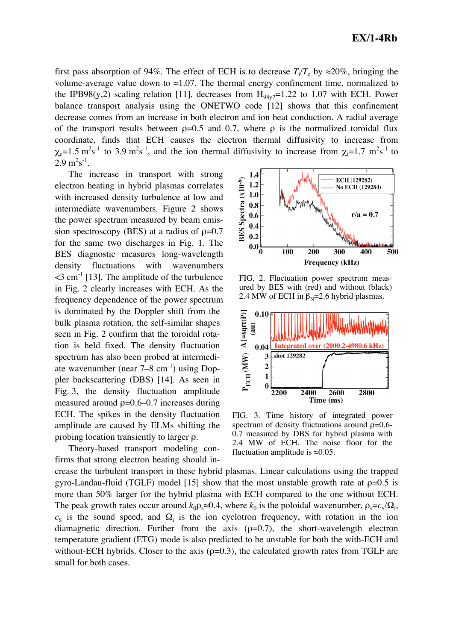first pass absorption of 94%. The effect of ECH is to decrease  $T_i/T_e$  by  $\approx 20\%$ , bringing the volume-average value down to ≈1.07. The thermal energy confinement time, normalized to the IPB98(y,2) scaling relation [11], decreases from  $H_{98v2}$ =1.22 to 1.07 with ECH. Power balance transport analysis using the ONETWO code [12] shows that this confinement decrease comes from an increase in both electron and ion heat conduction. A radial average of the transport results between  $p=0.5$  and 0.7, where  $p$  is the normalized toroidal flux coordinate, finds that ECH causes the electron thermal diffusivity to increase from  $\chi_e$ =1.5 m<sup>2</sup>s<sup>-1</sup> to 3.9 m<sup>2</sup>s<sup>-1</sup>, and the ion thermal diffusivity to increase from  $\chi_i$ =1.7 m<sup>2</sup>s<sup>-1</sup> to  $2.9 \text{ m}^2\text{s}^{-1}$ .

The increase in transport with strong electron heating in hybrid plasmas correlates with increased density turbulence at low and intermediate wavenumbers. Figure 2 shows the power spectrum measured by beam emission spectroscopy (BES) at a radius of  $p=0.7$ for the same two discharges in Fig. 1. The BES diagnostic measures long-wavelength density fluctuations with wavenumbers  $\leq$ 3 cm<sup>-1</sup> [13]. The amplitude of the turbulence in Fig. 2 clearly increases with ECH. As the frequency dependence of the power spectrum is dominated by the Doppler shift from the bulk plasma rotation, the self-similar shapes seen in Fig. 2 confirm that the toroidal rotation is held fixed. The density fluctuation spectrum has also been probed at intermediate wavenumber (near  $7-8$  cm<sup>-1</sup>) using Doppler backscattering (DBS) [14]. As seen in Fig. 3, the density fluctuation amplitude measured around  $p=0.6-0.7$  increases during ECH. The spikes in the density fluctuation amplitude are caused by ELMs shifting the probing location transiently to larger ρ.

Theory-based transport modeling confirms that strong electron heating should increase the turbulent transport in these hybrid plasmas. Linear calculations using the trapped gyro-Landau-fluid (TGLF) model [15] show that the most unstable growth rate at  $p=0.5$  is more than 50% larger for the hybrid plasma with ECH compared to the one without ECH. The peak growth rates occur around  $k_{\theta} \rho_s \approx 0.4$ , where  $k_{\theta}$  is the poloidal wavenumber,  $\rho_s = c_s / \Omega_I$ ,  $c<sub>S</sub>$  is the sound speed, and  $\Omega<sub>i</sub>$  is the ion cyclotron frequency, with rotation in the ion diamagnetic direction. Further from the axis  $(\rho=0.7)$ , the short-wavelength electron temperature gradient (ETG) mode is also predicted to be unstable for both the with-ECH and without-ECH hybrids. Closer to the axis ( $\rho$ =0.3), the calculated growth rates from TGLF are small for both cases. fluctuation amplitude is  $\approx 0.05$ .



FIG. 2. Fluctuation power spectrum measured by BES with (red) and without (black) 2.4 MW of ECH in  $\beta_N = 2.6$  hybrid plasmas.



FIG. 3. Time history of integrated power spectrum of density fluctuations around  $\rho = 0.6$ -0.7 measured by DBS for hybrid plasma with 2.4 MW of ECH. The noise floor for the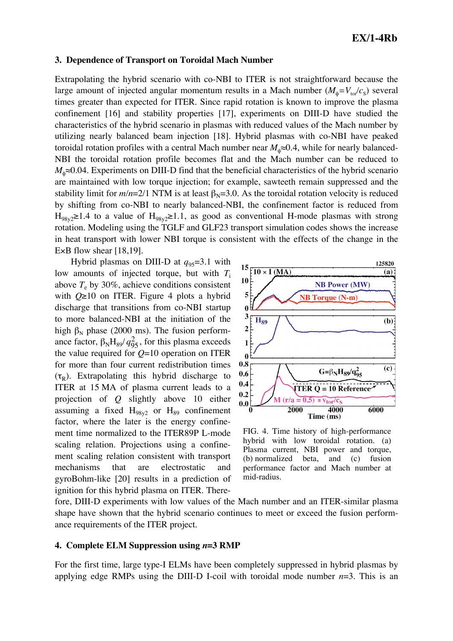## **EX/1-4Rb**

#### **3. Dependence of Transport on Toroidal Mach Number**

Extrapolating the hybrid scenario with co-NBI to ITER is not straightforward because the large amount of injected angular momentum results in a Mach number  $(M_{\phi} = V_{\text{tot}}/c_{\text{S}})$  several times greater than expected for ITER. Since rapid rotation is known to improve the plasma confinement [16] and stability properties [17], experiments on DIII-D have studied the characteristics of the hybrid scenario in plasmas with reduced values of the Mach number by utilizing nearly balanced beam injection [18]. Hybrid plasmas with co-NBI have peaked toroidal rotation profiles with a central Mach number near  $M_{\phi} \approx 0.4$ , while for nearly balanced-NBI the toroidal rotation profile becomes flat and the Mach number can be reduced to *M*<sub>n</sub>≈0.04. Experiments on DIII-D find that the beneficial characteristics of the hybrid scenario are maintained with low torque injection; for example, sawteeth remain suppressed and the stability limit for  $m/n=2/1$  NTM is at least  $\beta_N=3.0$ . As the toroidal rotation velocity is reduced by shifting from co-NBI to nearly balanced-NBI, the confinement factor is reduced from  $H_{98v} \geq 1.4$  to a value of  $H_{98v} \geq 1.1$ , as good as conventional H-mode plasmas with strong rotation. Modeling using the TGLF and GLF23 transport simulation codes shows the increase in heat transport with lower NBI torque is consistent with the effects of the change in the E $\times$ B flow shear [18,19].

Hybrid plasmas on DIII-D at  $q_{95}=3.1$  with low amounts of injected torque, but with  $T_i$ above  $T_e$  by 30%, achieve conditions consistent with *Q*≥10 on ITER. Figure 4 plots a hybrid discharge that transitions from co-NBI startup to more balanced-NBI at the initiation of the high  $β<sub>N</sub>$  phase (2000 ms). The fusion performance factor,  $\beta_N H_{89}/q_{95}^2$ , for this plasma exceeds ITER at 15 MA of plasma current leads to a the value required for *Q*=10 operation on ITER for more than four current redistribution times  $(\tau_R)$ . Extrapolating this hybrid discharge to projection of *Q* slightly above 10 either assuming a fixed  $H_{98v2}$  or  $H_{89}$  confinement factor, where the later is the energy confinement time normalized to the ITER89P L-mode scaling relation. Projections using a confinement scaling relation consistent with transport mechanisms that are electrostatic and gyroBohm-like [20] results in a prediction of ignition for this hybrid plasma on ITER. There-



FIG. 4. Time history of high-performance hybrid with low toroidal rotation. (a) Plasma current, NBI power and torque, (b) normalized beta, and (c) fusion performance factor and Mach number at mid-radius.

fore, DIII-D experiments with low values of the Mach number and an ITER-similar plasma shape have shown that the hybrid scenario continues to meet or exceed the fusion performance requirements of the ITER project.

#### **4. Complete ELM Suppression using** *n***=3 RMP**

For the first time, large type-I ELMs have been completely suppressed in hybrid plasmas by applying edge RMPs using the DIII-D I-coil with toroidal mode number *n*=3. This is an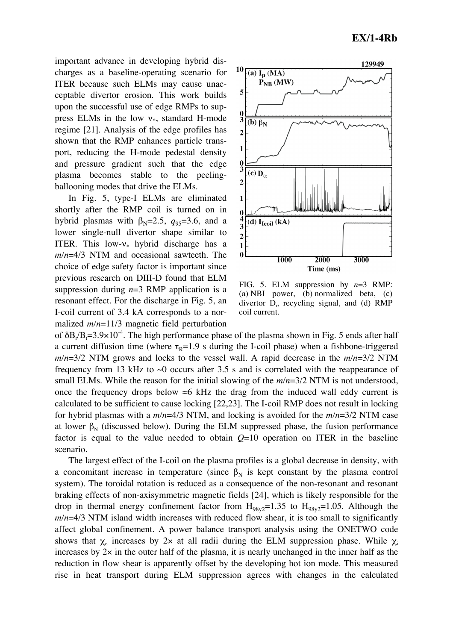important advance in developing hybrid discharges as a baseline-operating scenario for ITER because such ELMs may cause unacceptable divertor erosion. This work builds upon the successful use of edge RMPs to suppress ELMs in the low  $v_{*}$ , standard H-mode regime [21]. Analysis of the edge profiles has shown that the RMP enhances particle transport, reducing the H-mode pedestal density and pressure gradient such that the edge plasma becomes stable to the peelingballooning modes that drive the ELMs.

In Fig. 5, type-I ELMs are eliminated shortly after the RMP coil is turned on in hybrid plasmas with  $\beta_N = 2.5$ ,  $q_{95} = 3.6$ , and a lower single-null divertor shape similar to ITER. This low- $v_{*}$  hybrid discharge has a *m/n*=4/3 NTM and occasional sawteeth. The choice of edge safety factor is important since previous research on DIII-D found that ELM suppression during  $n=3$  RMP application is a resonant effect. For the discharge in Fig. 5, an I-coil current of 3.4 kA corresponds to a normalized *m/n*=11/3 magnetic field perturbation



FIG. 5. ELM suppression by *n*=3 RMP: (a) NBI power, (b) normalized beta, (c) divertor  $D_{\alpha}$  recycling signal, and (d) RMP coil current.

of  $\delta B / B_1 = 3.9 \times 10^{-4}$ . The high performance phase of the plasma shown in Fig. 5 ends after half a current diffusion time (where  $\tau_R$ =1.9 s during the I-coil phase) when a fishbone-triggered *m/n*=3/2 NTM grows and locks to the vessel wall. A rapid decrease in the *m/n*=3/2 NTM frequency from 13 kHz to  $\sim$ 0 occurs after 3.5 s and is correlated with the reappearance of small ELMs. While the reason for the initial slowing of the *m/n*=3/2 NTM is not understood, once the frequency drops below  $\approx$ 6 kHz the drag from the induced wall eddy current is calculated to be sufficient to cause locking [22,23]. The I-coil RMP does not result in locking for hybrid plasmas with a *m/n*=4/3 NTM, and locking is avoided for the *m/n*=3/2 NTM case at lower  $\beta_N$  (discussed below). During the ELM suppressed phase, the fusion performance factor is equal to the value needed to obtain  $Q=10$  operation on ITER in the baseline scenario.

The largest effect of the I-coil on the plasma profiles is a global decrease in density, with a concomitant increase in temperature (since  $\beta_N$  is kept constant by the plasma control system). The toroidal rotation is reduced as a consequence of the non-resonant and resonant braking effects of non-axisymmetric magnetic fields [24], which is likely responsible for the drop in thermal energy confinement factor from  $H_{98v2}=1.35$  to  $H_{98v2}=1.05$ . Although the *m/n*=4/3 NTM island width increases with reduced flow shear, it is too small to significantly affect global confinement. A power balance transport analysis using the ONETWO code shows that  $\chi_e$  increases by 2x at all radii during the ELM suppression phase. While  $\chi_i$ increases by  $2x$  in the outer half of the plasma, it is nearly unchanged in the inner half as the reduction in flow shear is apparently offset by the developing hot ion mode. This measured rise in heat transport during ELM suppression agrees with changes in the calculated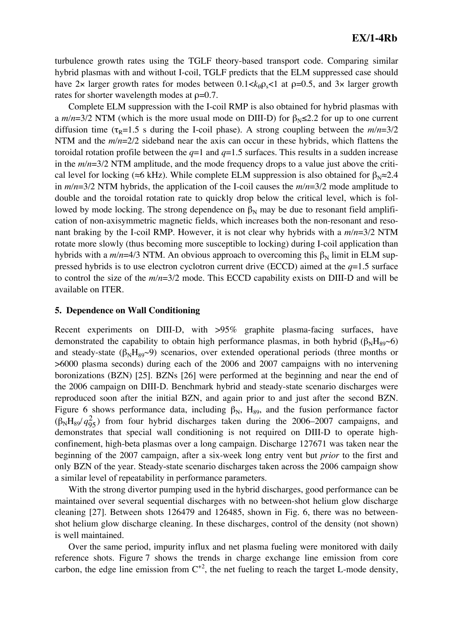turbulence growth rates using the TGLF theory-based transport code. Comparing similar hybrid plasmas with and without I-coil, TGLF predicts that the ELM suppressed case should have 2x larger growth rates for modes between  $0.1 < k_0 \rho_s < 1$  at  $\rho = 0.5$ , and 3x larger growth rates for shorter wavelength modes at  $\rho=0.7$ .

Complete ELM suppression with the I-coil RMP is also obtained for hybrid plasmas with a  $m/n=3/2$  NTM (which is the more usual mode on DIII-D) for  $\beta_{N} \leq 2.2$  for up to one current diffusion time ( $\tau_R$ =1.5 s during the I-coil phase). A strong coupling between the  $m/n=3/2$ NTM and the *m/n*=2/2 sideband near the axis can occur in these hybrids, which flattens the toroidal rotation profile between the *q*=1 and *q*=1.5 surfaces. This results in a sudden increase in the *m/n*=3/2 NTM amplitude, and the mode frequency drops to a value just above the critical level for locking (≈6 kHz). While complete ELM suppression is also obtained for  $\beta_N \approx 2.4$ in *m/n*=3/2 NTM hybrids, the application of the I-coil causes the *m/n*=3/2 mode amplitude to double and the toroidal rotation rate to quickly drop below the critical level, which is followed by mode locking. The strong dependence on  $β_N$  may be due to resonant field amplification of non-axisymmetric magnetic fields, which increases both the non-resonant and resonant braking by the I-coil RMP. However, it is not clear why hybrids with a *m/n*=3/2 NTM rotate more slowly (thus becoming more susceptible to locking) during I-coil application than hybrids with a  $m/n=4/3$  NTM. An obvious approach to overcoming this  $\beta_N$  limit in ELM suppressed hybrids is to use electron cyclotron current drive (ECCD) aimed at the *q*=1.5 surface to control the size of the *m/n*=3/2 mode. This ECCD capability exists on DIII-D and will be available on ITER.

### **5. Dependence on Wall Conditioning**

Recent experiments on DIII-D, with >95% graphite plasma-facing surfaces, have demonstrated the capability to obtain high performance plasmas, in both hybrid ( $\beta_N H_{89} \sim 6$ ) and steady-state ( $\beta_N H_{89}$ ~9) scenarios, over extended operational periods (three months or >6000 plasma seconds) during each of the 2006 and 2007 campaigns with no intervening boronizations (BZN) [25]. BZNs [26] were performed at the beginning and near the end of the 2006 campaign on DIII-D. Benchmark hybrid and steady-state scenario discharges were reproduced soon after the initial BZN, and again prior to and just after the second BZN. Figure 6 shows performance data, including  $\beta_N$ , H<sub>89</sub>, and the fusion performance factor  $(\beta_N H_{89}/q_{95}^2)$  from four hybrid discharges taken during the 2006–2007 campaigns, and demonstrates that special wall conditioning is not required on DIII-D to operate highconfinement, high-beta plasmas over a long campaign. Discharge 127671 was taken near the beginning of the 2007 campaign, after a six-week long entry vent but *prior* to the first and only BZN of the year. Steady-state scenario discharges taken across the 2006 campaign show a similar level of repeatability in performance parameters.

With the strong divertor pumping used in the hybrid discharges, good performance can be maintained over several sequential discharges with no between-shot helium glow discharge cleaning [27]. Between shots 126479 and 126485, shown in Fig. 6, there was no betweenshot helium glow discharge cleaning. In these discharges, control of the density (not shown) is well maintained.

Over the same period, impurity influx and net plasma fueling were monitored with daily reference shots. Figure 7 shows the trends in charge exchange line emission from core carbon, the edge line emission from  $C^{+2}$ , the net fueling to reach the target L-mode density,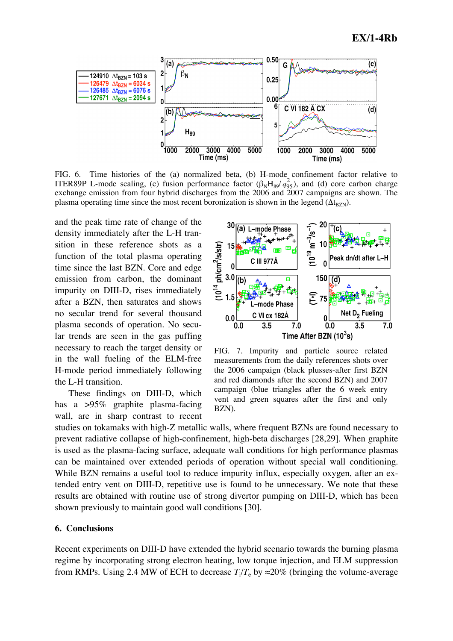

FIG. 6. Time histories of the (a) normalized beta, (b) H-mode confinement factor relative to ITER89P L-mode scaling, (c) fusion performance factor  $(\beta_N H_{89}/q_{95}^2)$ , and (d) core carbon charge exchange emission from four hybrid discharges from the 2006 and 2007 campaigns are shown. The plasma operating time since the most recent boronization is shown in the legend  $(\Delta t_{\rm BZN})$ .

and the peak time rate of change of the density immediately after the L-H transition in these reference shots as a function of the total plasma operating time since the last BZN. Core and edge emission from carbon, the dominant impurity on DIII-D, rises immediately after a BZN, then saturates and shows no secular trend for several thousand plasma seconds of operation. No secular trends are seen in the gas puffing necessary to reach the target density or in the wall fueling of the ELM-free H-mode period immediately following the L-H transition.

These findings on DIII-D, which has a >95% graphite plasma-facing wall, are in sharp contrast to recent



FIG. 7. Impurity and particle source related measurements from the daily references shots over the 2006 campaign (black plusses-after first BZN and red diamonds after the second BZN) and 2007 campaign (blue triangles after the 6 week entry vent and green squares after the first and only BZN).

studies on tokamaks with high-Z metallic walls, where frequent BZNs are found necessary to prevent radiative collapse of high-confinement, high-beta discharges [28,29]. When graphite is used as the plasma-facing surface, adequate wall conditions for high performance plasmas can be maintained over extended periods of operation without special wall conditioning. While BZN remains a useful tool to reduce impurity influx, especially oxygen, after an extended entry vent on DIII-D, repetitive use is found to be unnecessary. We note that these results are obtained with routine use of strong divertor pumping on DIII-D, which has been shown previously to maintain good wall conditions [30].

### **6. Conclusions**

Recent experiments on DIII-D have extended the hybrid scenario towards the burning plasma regime by incorporating strong electron heating, low torque injection, and ELM suppression from RMPs. Using 2.4 MW of ECH to decrease  $T_i/T_e$  by  $\approx 20\%$  (bringing the volume-average